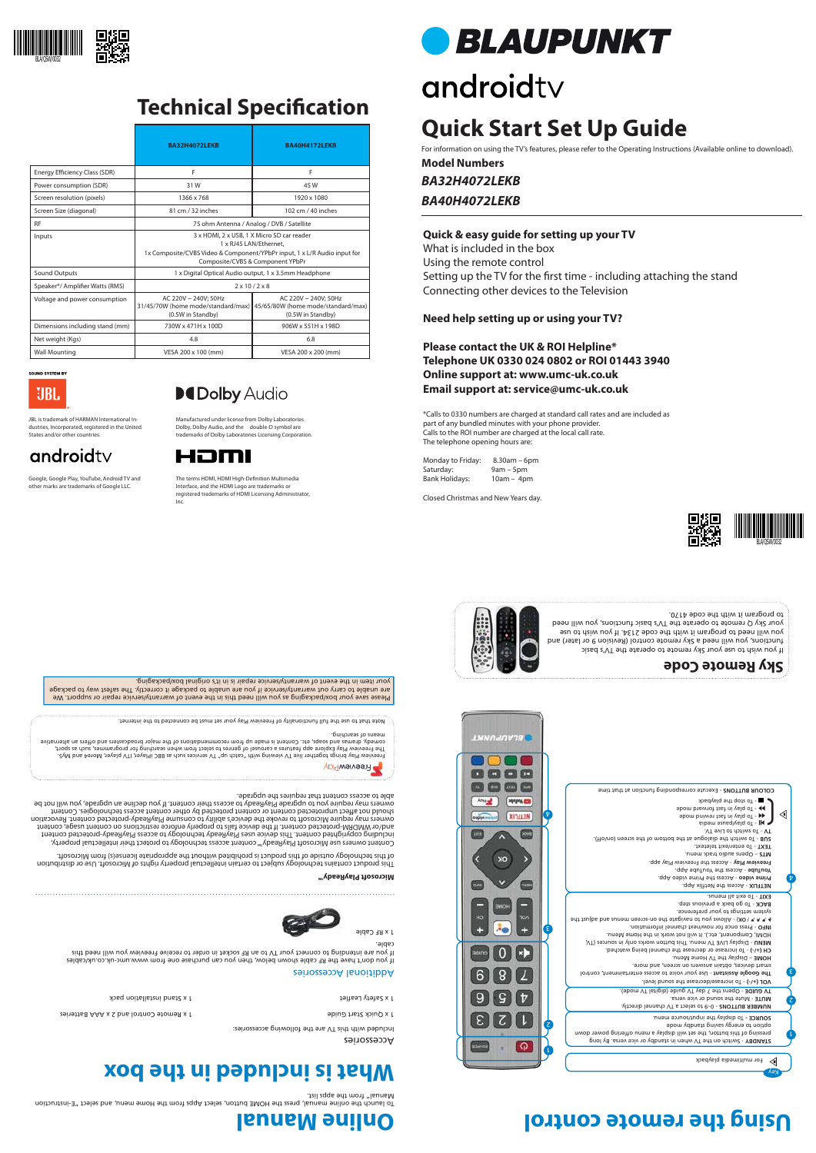Accessories

Included with this TV are the following accessories:

1 x Quick Start Guide Control and 2 x Apple Control and 2 x Assembly Start Start Guide Start Guide Start Start Guide Start Guide Start Guide Start Guide Start Guide Start Guide Start Guide Start Guide Start Guide Start Gui

et 1 x Safety Leaflet and installation parameter  $\alpha$  is spent to the 1 x Safety Leaflet and  $\alpha$ 

### **Online Manual Using the remote control**



## **Technical Specification**











### **Quick & easy guide for setting up your TV**

What is included in the box Using the remote control Setting up the TV for the first time - including attaching the stand Connecting other devices to the Television

Monday to Friday: 8.30am – 6pm Saturday: 9am – 5pm<br>Bank Holidays: 10am – 4p  $10am - 4pm$ 

**Need help setting up or using your TV?**

**Please contact the UK & ROI Helpline\* Telephone UK 0330 024 0802 or ROI 01443 3940 Online support at: www.umc-uk.co.uk Email support at: service@umc-uk.co.uk**

\*Calls to 0330 numbers are charged at standard call rates and are included as part of any bundled minutes with your phone provider. Calls to the ROI number are charged at the local call rate. The telephone opening hours are:



٤

 $\bm{\mathrm{b}}$ 

Closed Christmas and New Years day.

### **What is included in the box**



### Additional Accessories

If you don't have the RF cable shown below, then you can purchase one from www.umc-uk.co.uk/cables If you are intending to connect your TV to an RF socket in order to receive Freeview you will need this cable.

Freeview Play brings together live TV viewing with "catch up" TV services such as BBC iPlayer, VTI player, More4 and My5.<br>The Freeview Play brings together in Services of genres to select from when searching for programmes comedy, dramas and soaps, etc. Content is made up from recommendations of the major broadcasters and offers an alternative



2

L







 - 0–9 to select a TV channel directly. **NUMBER BUTTONS** - Mute the sound or vice versa. **MUTE**  - Opens the 7 day TV guide (digital TV mode). **TV GUIDE** 

> option to energy saints against the space To display the input/source menu. **SOURCE -**

To launch the online manual, press the HOME button, select Apps from the Home menu, and select "E-instruction Manual" from the apps list.

 $\mathcal{A}$  **A**  $\mathcal{A}$   $\mathcal{A}$   $\mathcal{A}$   $\mathcal{A}$   $\mathcal{A}$   $\mathcal{A}$   $\mathcal{A}$   $\mathcal{A}$   $\mathcal{A}$   $\mathcal{A}$   $\mathcal{A}$   $\mathcal{A}$   $\mathcal{A}$   $\mathcal{A}$   $\mathcal{A}$   $\mathcal{A}$   $\mathcal{A}$   $\mathcal{A}$   $\mathcal{A}$   $\mathcal{A}$   $\mathcal{A}$   $\mathcal{A}$   $\mathcal{A}$   $\$ system settings to your preference.

BACK - To go back a previous step. - To exit all menus. **EXIT**

**NETFLIX - Access the Netflix App.** Prime video - Access the Prime video App.

Please save your box/packaging as you will need this in the event of warranty/service repair or support. We are unable to carry out warranty/service if you are unable to package it correctly. The safest way to package your item in the event of warranty/service repair is in it's original box/packaging.

means of searching.

Note that to use the full functionality of Freeview Play your set must be connected to the internet.



 - Switch on the TV when in standby or vice versa. By long **STANDBY** pressing of this button, the set will display a menu offering power down

The terms HDMI, HDMI High-Definition Multimedia Interface, and the HDMI Logo are trademarks or registered trademarks of HDMI Licensing Administrator, **BLAUPUNKT** 

# androidty

 - To increase/decrease the sound level. **VOL (+/-)** The Google Assistant - Use your voice to access entertainment, control smart devices, obtain answers on screen, and more. – Display the TV Home Menu. **HOME**

- To increase or decrease the channel being watched. **CH (+/-)**

- Display LIVE TV menu. This button works only in sources (TV, **MENU**

HDMI, Component, etc.). It will not work in the Home Menu.

- Press once for now/next channel information. **INFO** 

**Microsoft PlayReady™**

This product contains technology subject to certain intellectual property rights of Microsoft. Use or distribution of this technology outside of this product is prohibited without the appropriate license(s) from Microsoft.

Content owners use Microsoft PlayReady™ content access technology to protect their intellectual property, including copyrighted content. This device uses PlayReady technology to access PlayReady-protected content and/or WMDRM-protected content. If the device fails to properly enforce restrictions on content usage, content owners may require Microsoft to revoke the device's ability to consume PlayReady-protected content. Revocation ect unprotected content or content protected by other content access technologies. Content should not aff owners may require you to upgrade PlayReady to access their content. If you decline an upgrade, you will not be

able to access content that requires the upgrade.

If you wish to use your Sky remote to operate the TV's basic functions, you will need a Sky remote control (Revision 9 or later) and you will need to program it with the code 2134. If you wish to use your Sky Q remote to operate the TV's basic functions, you will need



to program it with the code 4170.



Google, Google Play, YouTube, Android TV and other marks are trademarks of Google LLC.

Inc.

*BA32H4072LEKB* **Model Numbers**

*BA40H4072LEKB*

## **Quick Start Set Up Guide**

For information on using the TV's features, please refer to the Operating Instructions (Available online to download).

Manufactured under license from Dolby Laboratories. Dolby, Dolby Audio, and the double-D symbol are trademarks of Dolby Laboratories Licensing Corporation. dustries, Incorporated, registered in the United



|                                 | <b>BA32H4072LEKB</b>                                                                                                                                                                 | <b>BA40H4172LEKB</b>                                                            |  |
|---------------------------------|--------------------------------------------------------------------------------------------------------------------------------------------------------------------------------------|---------------------------------------------------------------------------------|--|
| Energy Efficiency Class (SDR)   | F                                                                                                                                                                                    | F                                                                               |  |
| Power consumption (SDR)         | 31W                                                                                                                                                                                  | 45 W                                                                            |  |
| Screen resolution (pixels)      | 1366 x 768                                                                                                                                                                           | 1920 x 1080                                                                     |  |
| Screen Size (diagonal)          | 81 cm / 32 inches                                                                                                                                                                    | 102 cm / 40 inches                                                              |  |
| <b>RF</b>                       | 75 ohm Antenna / Analog / DVB / Satellite                                                                                                                                            |                                                                                 |  |
| Inputs                          | 3 x HDMI, 2 x USB, 1 X Micro SD car reader<br>1 x RJ45 LAN/Ethernet.<br>1x Composite/CVBS Video & Component/YPbPr input, 1 x L/R Audio input for<br>Composite/CVBS & Component YPbPr |                                                                                 |  |
| Sound Outputs                   | 1 x Digital Optical Audio output, 1 x 3.5mm Headphone                                                                                                                                |                                                                                 |  |
| Speaker*/ Amplifier Watts (RMS) | $2 \times 10 / 2 \times 8$                                                                                                                                                           |                                                                                 |  |
| Voltage and power consumption   | AC 220V ~ 240V; 50Hz<br>31/45/70W (home mode/standard/max)<br>(0.5W in Standby)                                                                                                      | AC 220V ~ 240V; 50Hz<br>45/65/80W (home mode/standard/max)<br>(0.5W in Standby) |  |
| Dimensions including stand (mm) | 730W x 471H x 100D                                                                                                                                                                   | 906W x 551H x 198D                                                              |  |
| Net weight (Kgs)                | 4.8                                                                                                                                                                                  | 6.8                                                                             |  |
| <b>Wall Mounting</b>            | VESA 200 x 100 (mm)                                                                                                                                                                  | VESA 200 x 200 (mm)                                                             |  |

**SOUND SYSTEM BY** UBL.

JBL is trademark of HARMAN International In-

States and/or other countries.

androidty

### **DeDolby Audio**